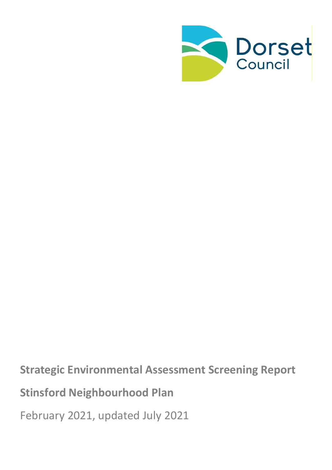

**Strategic Environmental Assessment Screening Report Stinsford Neighbourhood Plan** February 2021, updated July 2021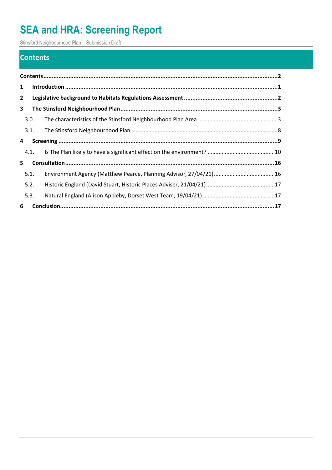Stinsford Neighbourhood Plan – Submission Draft

### <span id="page-1-0"></span>**Contents**

| $\mathbf{1}$ |      |  |  |
|--------------|------|--|--|
| $\mathbf{2}$ |      |  |  |
| $\mathbf{3}$ |      |  |  |
|              | 3.0. |  |  |
|              | 3.1. |  |  |
| 4            |      |  |  |
|              | 4.1. |  |  |
| 5            |      |  |  |
|              | 5.1. |  |  |
|              | 5.2. |  |  |
|              | 5.3. |  |  |
| 6            |      |  |  |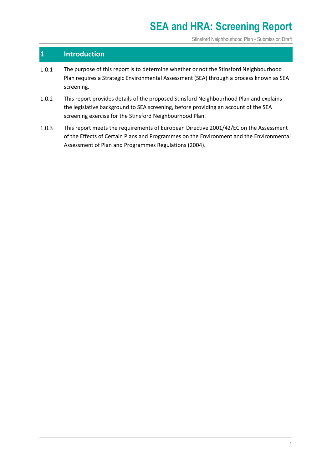Stinsford Neighbourhood Plan - Submission Draft

### <span id="page-2-0"></span>**1 Introduction**

- $1.0.1$ The purpose of this report is to determine whether or not the Stinsford Neighbourhood Plan requires a Strategic Environmental Assessment (SEA) through a process known as SEA screening.
- This report provides details of the proposed Stinsford Neighbourhood Plan and explains  $1.0.2$ the legislative background to SEA screening, before providing an account of the SEA screening exercise for the Stinsford Neighbourhood Plan.
- $1.0.3$ This report meets the requirements of European Directive 2001/42/EC on the Assessment of the Effects of Certain Plans and Programmes on the Environment and the Environmental Assessment of Plan and Programmes Regulations (2004).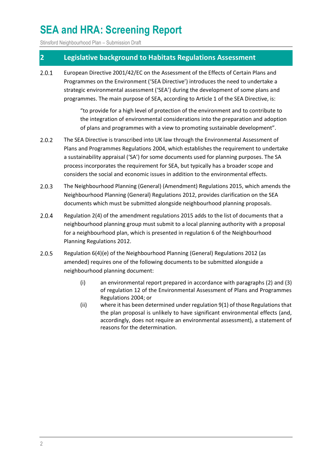Stinsford Neighbourhood Plan – Submission Draft

### <span id="page-3-0"></span>**2 Legislative background to Habitats Regulations Assessment**

European Directive 2001/42/EC on the Assessment of the Effects of Certain Plans and  $2.0.1$ Programmes on the Environment ('SEA Directive') introduces the need to undertake a strategic environmental assessment ('SEA') during the development of some plans and programmes. The main purpose of SEA, according to Article 1 of the SEA Directive, is:

> "to provide for a high level of protection of the environment and to contribute to the integration of environmental considerations into the preparation and adoption of plans and programmes with a view to promoting sustainable development".

- $2.0.2$ The SEA Directive is transcribed into UK law through the Environmental Assessment of Plans and Programmes Regulations 2004, which establishes the requirement to undertake a sustainability appraisal ('SA') for some documents used for planning purposes. The SA process incorporates the requirement for SEA, but typically has a broader scope and considers the social and economic issues in addition to the environmental effects.
- $2.0.3$ The Neighbourhood Planning (General) (Amendment) Regulations 2015, which amends the Neighbourhood Planning (General) Regulations 2012, provides clarification on the SEA documents which must be submitted alongside neighbourhood planning proposals.
- $2.0.4$ Regulation 2(4) of the amendment regulations 2015 adds to the list of documents that a neighbourhood planning group must submit to a local planning authority with a proposal for a neighbourhood plan, which is presented in regulation 6 of the Neighbourhood Planning Regulations 2012.
- $2.0.5$ Regulation 6(4)(e) of the Neighbourhood Planning (General) Regulations 2012 (as amended) requires one of the following documents to be submitted alongside a neighbourhood planning document:
	- (i) an environmental report prepared in accordance with paragraphs (2) and (3) of regulation 12 of the Environmental Assessment of Plans and Programmes Regulations 2004; or
	- (ii) where it has been determined under regulation 9(1) of those Regulations that the plan proposal is unlikely to have significant environmental effects (and, accordingly, does not require an environmental assessment), a statement of reasons for the determination.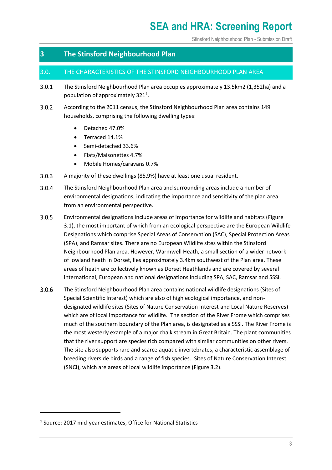Stinsford Neighbourhood Plan - Submission Draft

### <span id="page-4-0"></span>**3 The Stinsford Neighbourhood Plan**

#### <span id="page-4-1"></span>3.0. THE CHARACTERISTICS OF THE STINSFORD NEIGHBOURHOOD PLAN AREA

- $3.0.1$ The Stinsford Neighbourhood Plan area occupies approximately 13.5km2 (1,352ha) and a population of approximately  $321<sup>1</sup>$ .
- $3.0.2$ According to the 2011 census, the Stinsford Neighbourhood Plan area contains 149 households, comprising the following dwelling types:
	- Detached 47.0%
	- Terraced 14.1%
	- Semi-detached 33.6%
	- Flats/Maisonettes 4.7%
	- Mobile Homes/caravans 0.7%
- $3.0.3$ A majority of these dwellings (85.9%) have at least one usual resident.
- $3.0.4$ The Stinsford Neighbourhood Plan area and surrounding areas include a number of environmental designations, indicating the importance and sensitivity of the plan area from an environmental perspective.
- $3.0.5$ Environmental designations include areas of importance for wildlife and habitats (Figure 3.1), the most important of which from an ecological perspective are the European Wildlife Designations which comprise Special Areas of Conservation (SAC), Special Protection Areas (SPA), and Ramsar sites. There are no European Wildlife sites within the Stinsford Neighbourhood Plan area. However, Warmwell Heath, a small section of a wider network of lowland heath in Dorset, lies approximately 3.4km southwest of the Plan area. These areas of heath are collectively known as Dorset Heathlands and are covered by several international, European and national designations including SPA, SAC, Ramsar and SSSI.
- $3.0.6$ The Stinsford Neighbourhood Plan area contains national wildlife designations (Sites of Special Scientific Interest) which are also of high ecological importance, and nondesignated wildlife sites (Sites of Nature Conservation Interest and Local Nature Reserves) which are of local importance for wildlife. The section of the River Frome which comprises much of the southern boundary of the Plan area, is designated as a SSSI. The River Frome is the most westerly example of a major chalk stream in Great Britain. The plant communities that the river support are species rich compared with similar communities on other rivers. The site also supports rare and scarce aquatic invertebrates, a characteristic assemblage of breeding riverside birds and a range of fish species. Sites of Nature Conservation Interest (SNCI), which are areas of local wildlife importance (Figure 3.2).

<sup>&</sup>lt;sup>1</sup> Source: 2017 mid-year estimates, Office for National Statistics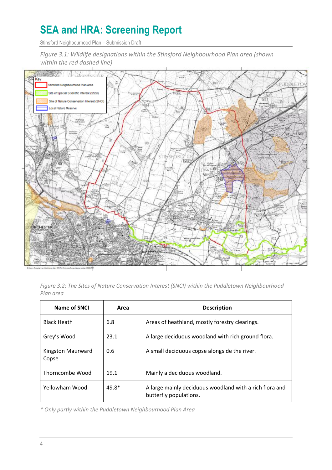Stinsford Neighbourhood Plan – Submission Draft

*Figure 3.1: Wildlife designations within the Stinsford Neighbourhood Plan area (shown within the red dashed line)*



*Figure 3.2: The Sites of Nature Conservation Interest (SNCI) within the Puddletown Neighbourhood Plan area*

| Name of SNCI               | Area  | <b>Description</b>                                                                |
|----------------------------|-------|-----------------------------------------------------------------------------------|
| <b>Black Heath</b>         | 6.8   | Areas of heathland, mostly forestry clearings.                                    |
| Grey's Wood                | 23.1  | A large deciduous woodland with rich ground flora.                                |
| Kingston Maurward<br>Copse | 0.6   | A small deciduous copse alongside the river.                                      |
| Thorncombe Wood            | 19.1  | Mainly a deciduous woodland.                                                      |
| Yellowham Wood             | 49.8* | A large mainly deciduous woodland with a rich flora and<br>butterfly populations. |

*\* Only partly within the Puddletown Neighbourhood Plan Area*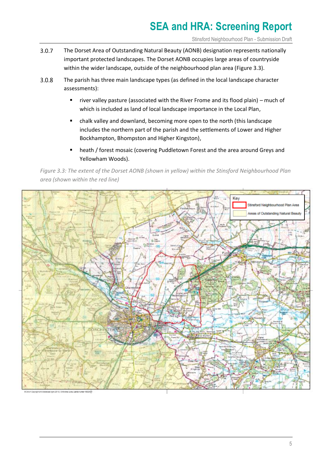Stinsford Neighbourhood Plan - Submission Draft

- $3.0.7$ The Dorset Area of Outstanding Natural Beauty (AONB) designation represents nationally important protected landscapes. The Dorset AONB occupies large areas of countryside within the wider landscape, outside of the neighbourhood plan area (Figure 3.3).
- $3.0.8$ The parish has three main landscape types (as defined in the local landscape character assessments):
	- river valley pasture (associated with the River Frome and its flood plain) much of which is included as land of local landscape importance in the Local Plan,
	- chalk valley and downland, becoming more open to the north (this landscape includes the northern part of the parish and the settlements of Lower and Higher Bockhampton, Bhompston and Higher Kingston),
	- heath / forest mosaic (covering Puddletown Forest and the area around Greys and Yellowham Woods).

*Figure 3.3: The extent of the Dorset AONB (shown in yellow) within the Stinsford Neighbourhood Plan area (shown within the red line)*

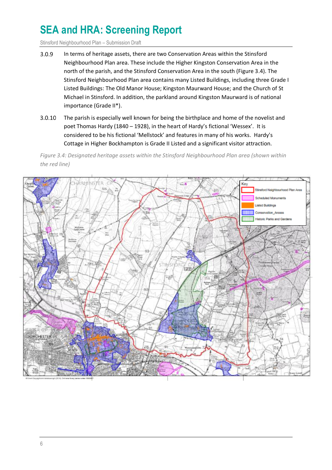Stinsford Neighbourhood Plan – Submission Draft

- $3.0.9$ In terms of heritage assets, there are two Conservation Areas within the Stinsford Neighbourhood Plan area. These include the Higher Kingston Conservation Area in the north of the parish, and the Stinsford Conservation Area in the south (Figure 3.4). The Stinsford Neighbourhood Plan area contains many Listed Buildings, including three Grade I Listed Buildings: The Old Manor House; Kingston Maurward House; and the Church of St Michael in Stinsford. In addition, the parkland around Kingston Maurward is of national importance (Grade II\*).
- $3.0.10$ The parish is especially well known for being the birthplace and home of the novelist and poet Thomas Hardy (1840 – 1928), in the heart of Hardy's fictional 'Wessex'. It is considered to be his fictional 'Mellstock' and features in many of his works. Hardy's Cottage in Higher Bockhampton is Grade II Listed and a significant visitor attraction.

*Figure 3.4: Designated heritage assets within the Stinsford Neighbourhood Plan area (shown within the red line)*

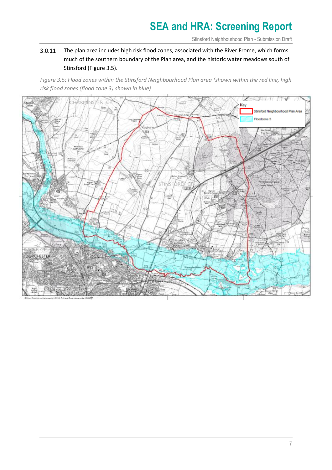Stinsford Neighbourhood Plan - Submission Draft

#### $3.0.11$ The plan area includes high risk flood zones, associated with the River Frome, which forms much of the southern boundary of the Plan area, and the historic water meadows south of Stinsford (Figure 3.5).

*Figure 3.5: Flood zones within the Stinsford Neighbourhood Plan area (shown within the red line, high risk flood zones (flood zone 3) shown in blue)*

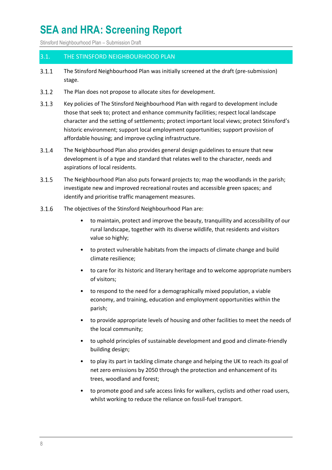Stinsford Neighbourhood Plan – Submission Draft

#### <span id="page-9-0"></span>3.1. THE STINSFORD NEIGHBOURHOOD PLAN

- $3.1.1$ The Stinsford Neighbourhood Plan was initially screened at the draft (pre-submission) stage.
- $3.1.2$ The Plan does not propose to allocate sites for development.
- $3.1.3$ Key policies of The Stinsford Neighbourhood Plan with regard to development include those that seek to; protect and enhance community facilities; respect local landscape character and the setting of settlements; protect important local views; protect Stinsford's historic environment; support local employment opportunities; support provision of affordable housing; and improve cycling infrastructure.
- $3.1.4$ The Neighbourhood Plan also provides general design guidelines to ensure that new development is of a type and standard that relates well to the character, needs and aspirations of local residents.
- $3.1.5$ The Neighbourhood Plan also puts forward projects to; map the woodlands in the parish; investigate new and improved recreational routes and accessible green spaces; and identify and prioritise traffic management measures.
- $3.1.6$ The objectives of the Stinsford Neighbourhood Plan are:
	- to maintain, protect and improve the beauty, tranquillity and accessibility of our rural landscape, together with its diverse wildlife, that residents and visitors value so highly;
	- to protect vulnerable habitats from the impacts of climate change and build climate resilience;
	- to care for its historic and literary heritage and to welcome appropriate numbers of visitors;
	- to respond to the need for a demographically mixed population, a viable economy, and training, education and employment opportunities within the parish;
	- to provide appropriate levels of housing and other facilities to meet the needs of the local community;
	- to uphold principles of sustainable development and good and climate-friendly building design;
	- to play its part in tackling climate change and helping the UK to reach its goal of net zero emissions by 2050 through the protection and enhancement of its trees, woodland and forest;
	- to promote good and safe access links for walkers, cyclists and other road users, whilst working to reduce the reliance on fossil-fuel transport.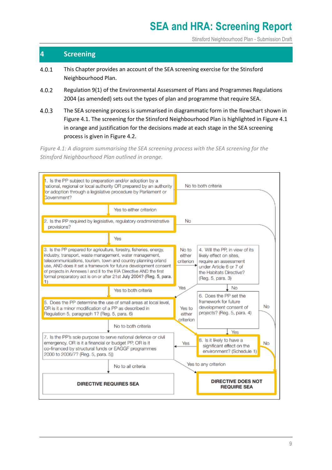Stinsford Neighbourhood Plan - Submission Draft

### <span id="page-10-0"></span>**4 Screening**

- $4.0.1$ This Chapter provides an account of the SEA screening exercise for the Stinsford Neighbourhood Plan.
- $4.0.2$ Regulation 9(1) of the Environmental Assessment of Plans and Programmes Regulations 2004 (as amended) sets out the types of plan and programme that require SEA.
- $4.0.3$ The SEA screening process is summarised in diagrammatic form in the flowchart shown in Figure 4.1. The screening for the Stinsford Neighbourhood Plan is highlighted in Figure 4.1 in orange and justification for the decisions made at each stage in the SEA screening process is given in Figure 4.2.

*Figure 4.1: A diagram summarising the SEA screening process with the SEA screening for the Stinsford Neighbourhood Plan outlined in orange.*

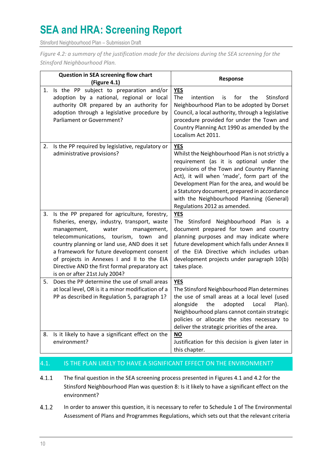Stinsford Neighbourhood Plan – Submission Draft

*Figure 4.2: a summary of the justification made for the decisions during the SEA screening for the Stinsford Neighbourhood Plan.*

| Question in SEA screening flow chart<br>(Figure 4.1) |                                                                                                                                                                                                                                                                                                                                                                                                                    | Response                                                                                                                                                                                                                                                                                                                                                                            |  |
|------------------------------------------------------|--------------------------------------------------------------------------------------------------------------------------------------------------------------------------------------------------------------------------------------------------------------------------------------------------------------------------------------------------------------------------------------------------------------------|-------------------------------------------------------------------------------------------------------------------------------------------------------------------------------------------------------------------------------------------------------------------------------------------------------------------------------------------------------------------------------------|--|
| 1.                                                   | Is the PP subject to preparation and/or<br>adoption by a national, regional or local<br>authority OR prepared by an authority for<br>adoption through a legislative procedure by<br>Parliament or Government?                                                                                                                                                                                                      | <b>YES</b><br>The<br>intention<br>for<br>the<br>Stinsford<br>is<br>Neighbourhood Plan to be adopted by Dorset<br>Council, a local authority, through a legislative<br>procedure provided for under the Town and<br>Country Planning Act 1990 as amended by the<br>Localism Act 2011.                                                                                                |  |
| 2.                                                   | Is the PP required by legislative, regulatory or<br>administrative provisions?                                                                                                                                                                                                                                                                                                                                     | <b>YES</b><br>Whilst the Neighbourhood Plan is not strictly a<br>requirement (as it is optional under the<br>provisions of the Town and Country Planning<br>Act), it will when 'made', form part of the<br>Development Plan for the area, and would be<br>a Statutory document, prepared in accordance<br>with the Neighbourhood Planning (General)<br>Regulations 2012 as amended. |  |
| 3.                                                   | Is the PP prepared for agriculture, forestry,<br>fisheries, energy, industry, transport, waste<br>management,<br>water<br>management,<br>telecommunications, tourism, town<br>and<br>country planning or land use, AND does it set<br>a framework for future development consent<br>of projects in Annexes I and II to the EIA<br>Directive AND the first formal preparatory act<br>is on or after 21st July 2004? | <b>YES</b><br>The Stinsford Neighbourhood Plan is a<br>document prepared for town and country<br>planning purposes and may indicate where<br>future development which falls under Annex II<br>of the EIA Directive which includes urban<br>development projects under paragraph 10(b)<br>takes place.                                                                               |  |
| 5.                                                   | Does the PP determine the use of small areas<br>at local level, OR is it a minor modification of a<br>PP as described in Regulation 5, paragraph 1?                                                                                                                                                                                                                                                                | <b>YES</b><br>The Stinsford Neighbourhood Plan determines<br>the use of small areas at a local level (used<br>alongside<br>the<br>adopted<br>Local<br>Plan).<br>Neighbourhood plans cannot contain strategic<br>policies or allocate the sites necessary to<br>deliver the strategic priorities of the area.                                                                        |  |
| 8.                                                   | Is it likely to have a significant effect on the<br>environment?                                                                                                                                                                                                                                                                                                                                                   | $NO$<br>Justification for this decision is given later in<br>this chapter.                                                                                                                                                                                                                                                                                                          |  |

### <span id="page-11-0"></span>4.1. IS THE PLAN LIKELY TO HAVE A SIGNIFICANT EFFECT ON THE ENVIRONMENT?

- $4.1.1$ The final question in the SEA screening process presented in Figures 4.1 and 4.2 for the Stinsford Neighbourhood Plan was question 8: Is it likely to have a significant effect on the environment?
- $4.1.2$ In order to answer this question, it is necessary to refer to Schedule 1 of The Environmental Assessment of Plans and Programmes Regulations, which sets out that the relevant criteria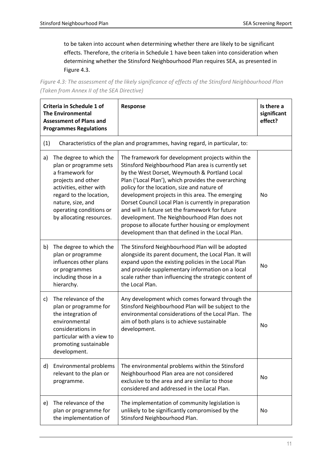to be taken into account when determining whether there are likely to be significant effects. Therefore, the criteria in Schedule 1 have been taken into consideration when determining whether the Stinsford Neighbourhood Plan requires SEA, as presented in Figure 4.3.

*Figure 4.3: The assessment of the likely significance of effects of the Stinsford Neighbourhood Plan (Taken from Annex II of the SEA Directive)*

| Criteria in Schedule 1 of<br><b>The Environmental</b><br><b>Assessment of Plans and</b><br><b>Programmes Regulations</b> |                                                                                                                                                                                                                              | Response                                                                                                                                                                                                                                                                                                                                                                                                                                                                                                                                                                               | Is there a<br>significant<br>effect? |
|--------------------------------------------------------------------------------------------------------------------------|------------------------------------------------------------------------------------------------------------------------------------------------------------------------------------------------------------------------------|----------------------------------------------------------------------------------------------------------------------------------------------------------------------------------------------------------------------------------------------------------------------------------------------------------------------------------------------------------------------------------------------------------------------------------------------------------------------------------------------------------------------------------------------------------------------------------------|--------------------------------------|
| (1)                                                                                                                      |                                                                                                                                                                                                                              | Characteristics of the plan and programmes, having regard, in particular, to:                                                                                                                                                                                                                                                                                                                                                                                                                                                                                                          |                                      |
| a)                                                                                                                       | The degree to which the<br>plan or programme sets<br>a framework for<br>projects and other<br>activities, either with<br>regard to the location,<br>nature, size, and<br>operating conditions or<br>by allocating resources. | The framework for development projects within the<br>Stinsford Neighbourhood Plan area is currently set<br>by the West Dorset, Weymouth & Portland Local<br>Plan ('Local Plan'), which provides the overarching<br>policy for the location, size and nature of<br>development projects in this area. The emerging<br>Dorset Council Local Plan is currently in preparation<br>and will in future set the framework for future<br>development. The Neighbourhood Plan does not<br>propose to allocate further housing or employment<br>development than that defined in the Local Plan. | No                                   |
| b)                                                                                                                       | The degree to which the<br>plan or programme<br>influences other plans<br>or programmes<br>including those in a<br>hierarchy.                                                                                                | The Stinsford Neighbourhood Plan will be adopted<br>alongside its parent document, the Local Plan. It will<br>expand upon the existing policies in the Local Plan<br>and provide supplementary information on a local<br>scale rather than influencing the strategic content of<br>the Local Plan.                                                                                                                                                                                                                                                                                     | No                                   |
| c)                                                                                                                       | The relevance of the<br>plan or programme for<br>the integration of<br>environmental<br>considerations in<br>particular with a view to<br>promoting sustainable<br>development.                                              | Any development which comes forward through the<br>Stinsford Neighbourhood Plan will be subject to the<br>environmental considerations of the Local Plan. The<br>aim of both plans is to achieve sustainable<br>development.                                                                                                                                                                                                                                                                                                                                                           | No                                   |
| d)                                                                                                                       | Environmental problems<br>relevant to the plan or<br>programme.                                                                                                                                                              | The environmental problems within the Stinsford<br>Neighbourhood Plan area are not considered<br>exclusive to the area and are similar to those<br>considered and addressed in the Local Plan.                                                                                                                                                                                                                                                                                                                                                                                         | No                                   |
| e)                                                                                                                       | The relevance of the<br>plan or programme for<br>the implementation of                                                                                                                                                       | The implementation of community legislation is<br>unlikely to be significantly compromised by the<br>Stinsford Neighbourhood Plan.                                                                                                                                                                                                                                                                                                                                                                                                                                                     | No                                   |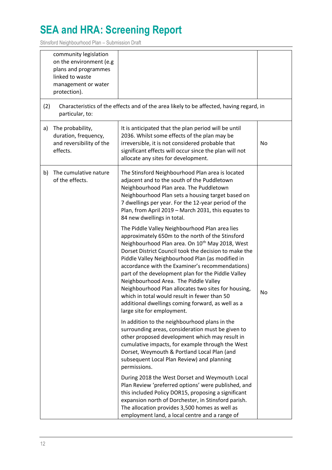Stinsford Neighbourhood Plan – Submission Draft

|     | community legislation<br>on the environment (e.g<br>plans and programmes<br>linked to waste<br>management or water<br>protection). |                                                                                                                                                                                                                                                                                                                                                                                                                                                                                                                                                                                                                            |    |
|-----|------------------------------------------------------------------------------------------------------------------------------------|----------------------------------------------------------------------------------------------------------------------------------------------------------------------------------------------------------------------------------------------------------------------------------------------------------------------------------------------------------------------------------------------------------------------------------------------------------------------------------------------------------------------------------------------------------------------------------------------------------------------------|----|
| (2) | particular, to:                                                                                                                    | Characteristics of the effects and of the area likely to be affected, having regard, in                                                                                                                                                                                                                                                                                                                                                                                                                                                                                                                                    |    |
| a)  | The probability,<br>duration, frequency,<br>and reversibility of the<br>effects.                                                   | It is anticipated that the plan period will be until<br>2036. Whilst some effects of the plan may be<br>irreversible, it is not considered probable that<br>significant effects will occur since the plan will not<br>allocate any sites for development.                                                                                                                                                                                                                                                                                                                                                                  | No |
| b)  | The cumulative nature<br>of the effects.                                                                                           | The Stinsford Neighbourhood Plan area is located<br>adjacent and to the south of the Puddletown<br>Neighbourhood Plan area. The Puddletown<br>Neighbourhood Plan sets a housing target based on<br>7 dwellings per year. For the 12-year period of the<br>Plan, from April 2019 - March 2031, this equates to<br>84 new dwellings in total.                                                                                                                                                                                                                                                                                |    |
|     |                                                                                                                                    | The Piddle Valley Neighbourhood Plan area lies<br>approximately 650m to the north of the Stinsford<br>Neighbourhood Plan area. On 10 <sup>th</sup> May 2018, West<br>Dorset District Council took the decision to make the<br>Piddle Valley Neighbourhood Plan (as modified in<br>accordance with the Examiner's recommendations)<br>part of the development plan for the Piddle Valley<br>Neighbourhood Area. The Piddle Valley<br>Neighbourhood Plan allocates two sites for housing,<br>which in total would result in fewer than 50<br>additional dwellings coming forward, as well as a<br>large site for employment. | No |
|     |                                                                                                                                    | In addition to the neighbourhood plans in the<br>surrounding areas, consideration must be given to<br>other proposed development which may result in<br>cumulative impacts, for example through the West<br>Dorset, Weymouth & Portland Local Plan (and<br>subsequent Local Plan Review) and planning<br>permissions.                                                                                                                                                                                                                                                                                                      |    |
|     |                                                                                                                                    | During 2018 the West Dorset and Weymouth Local<br>Plan Review 'preferred options' were published, and<br>this included Policy DOR15, proposing a significant<br>expansion north of Dorchester, in Stinsford parish.<br>The allocation provides 3,500 homes as well as<br>employment land, a local centre and a range of                                                                                                                                                                                                                                                                                                    |    |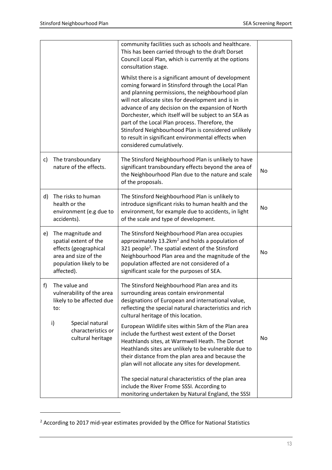|    |                                                                                                                                      | community facilities such as schools and healthcare.<br>This has been carried through to the draft Dorset<br>Council Local Plan, which is currently at the options<br>consultation stage.<br>Whilst there is a significant amount of development<br>coming forward in Stinsford through the Local Plan<br>and planning permissions, the neighbourhood plan<br>will not allocate sites for development and is in<br>advance of any decision on the expansion of North<br>Dorchester, which itself will be subject to an SEA as<br>part of the Local Plan process. Therefore, the<br>Stinsford Neighbourhood Plan is considered unlikely<br>to result in significant environmental effects when |    |
|----|--------------------------------------------------------------------------------------------------------------------------------------|-----------------------------------------------------------------------------------------------------------------------------------------------------------------------------------------------------------------------------------------------------------------------------------------------------------------------------------------------------------------------------------------------------------------------------------------------------------------------------------------------------------------------------------------------------------------------------------------------------------------------------------------------------------------------------------------------|----|
|    |                                                                                                                                      | considered cumulatively.                                                                                                                                                                                                                                                                                                                                                                                                                                                                                                                                                                                                                                                                      |    |
| c) | The transboundary<br>nature of the effects.                                                                                          | The Stinsford Neighbourhood Plan is unlikely to have<br>significant transboundary effects beyond the area of<br>the Neighbourhood Plan due to the nature and scale<br>of the proposals.                                                                                                                                                                                                                                                                                                                                                                                                                                                                                                       | No |
| d) | The risks to human<br>health or the<br>environment (e.g due to<br>accidents).                                                        | The Stinsford Neighbourhood Plan is unlikely to<br>introduce significant risks to human health and the<br>environment, for example due to accidents, in light<br>of the scale and type of development.                                                                                                                                                                                                                                                                                                                                                                                                                                                                                        | No |
| e) | The magnitude and<br>spatial extent of the<br>effects (geographical<br>area and size of the<br>population likely to be<br>affected). | The Stinsford Neighbourhood Plan area occupies<br>approximately 13.2km <sup>2</sup> and holds a population of<br>321 people <sup>2</sup> . The spatial extent of the Stinsford<br>Neighbourhood Plan area and the magnitude of the<br>population affected are not considered of a<br>significant scale for the purposes of SEA.                                                                                                                                                                                                                                                                                                                                                               | No |
| f) | The value and<br>vulnerability of the area<br>likely to be affected due<br>to:                                                       | The Stinsford Neighbourhood Plan area and its<br>surrounding areas contain environmental<br>designations of European and international value,<br>reflecting the special natural characteristics and rich<br>cultural heritage of this location.                                                                                                                                                                                                                                                                                                                                                                                                                                               |    |
|    | Special natural<br>i)<br>characteristics or<br>cultural heritage                                                                     | European Wildlife sites within 5km of the Plan area<br>include the furthest west extent of the Dorset<br>Heathlands sites, at Warmwell Heath. The Dorset<br>Heathlands sites are unlikely to be vulnerable due to<br>their distance from the plan area and because the<br>plan will not allocate any sites for development.                                                                                                                                                                                                                                                                                                                                                                   | No |
|    |                                                                                                                                      | The special natural characteristics of the plan area<br>include the River Frome SSSI. According to<br>monitoring undertaken by Natural England, the SSSI                                                                                                                                                                                                                                                                                                                                                                                                                                                                                                                                      |    |

<sup>2</sup> According to 2017 mid-year estimates provided by the Office for National Statistics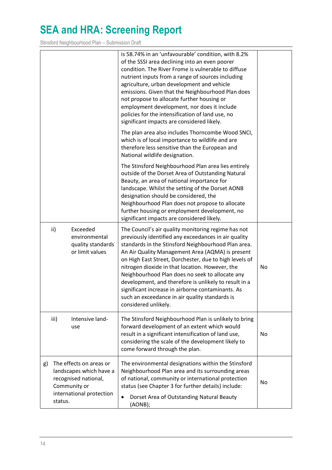Stinsford Neighbourhood Plan – Submission Draft

|                                                                                                                                         | is 58.74% in an 'unfavourable' condition, with 8.2%<br>of the SSSI area declining into an even poorer<br>condition. The River Frome is vulnerable to diffuse<br>nutrient inputs from a range of sources including<br>agriculture, urban development and vehicle<br>emissions. Given that the Neighbourhood Plan does<br>not propose to allocate further housing or<br>employment development, nor does it include<br>policies for the intensification of land use, no<br>significant impacts are considered likely.                                                            |    |
|-----------------------------------------------------------------------------------------------------------------------------------------|--------------------------------------------------------------------------------------------------------------------------------------------------------------------------------------------------------------------------------------------------------------------------------------------------------------------------------------------------------------------------------------------------------------------------------------------------------------------------------------------------------------------------------------------------------------------------------|----|
|                                                                                                                                         | The plan area also includes Thorncombe Wood SNCI,<br>which is of local importance to wildlife and are<br>therefore less sensitive than the European and<br>National wildlife designation.                                                                                                                                                                                                                                                                                                                                                                                      |    |
|                                                                                                                                         | The Stinsford Neighbourhood Plan area lies entirely<br>outside of the Dorset Area of Outstanding Natural<br>Beauty, an area of national importance for<br>landscape. Whilst the setting of the Dorset AONB<br>designation should be considered, the<br>Neighbourhood Plan does not propose to allocate<br>further housing or employment development, no<br>significant impacts are considered likely.                                                                                                                                                                          |    |
| ii)<br>Exceeded<br>environmental<br>quality standards<br>or limit values                                                                | The Council's air quality monitoring regime has not<br>previously identified any exceedances in air quality<br>standards in the Stinsford Neighbourhood Plan area.<br>An Air Quality Management Area (AQMA) is present<br>on High East Street, Dorchester, due to high levels of<br>nitrogen dioxide in that location. However, the<br>Neighbourhood Plan does no seek to allocate any<br>development, and therefore is unlikely to result in a<br>significant increase in airborne contaminants. As<br>such an exceedance in air quality standards is<br>considered unlikely. | No |
| Intensive land-<br>iii)<br>use                                                                                                          | The Stinsford Neighbourhood Plan is unlikely to bring<br>forward development of an extent which would<br>result in a significant intensification of land use,<br>considering the scale of the development likely to<br>come forward through the plan.                                                                                                                                                                                                                                                                                                                          | No |
| The effects on areas or<br>g)<br>landscapes which have a<br>recognised national,<br>Community or<br>international protection<br>status. | The environmental designations within the Stinsford<br>Neighbourhood Plan area and its surrounding areas<br>of national, community or international protection<br>status (see Chapter 3 for further details) include:<br>Dorset Area of Outstanding Natural Beauty<br>$\bullet$<br>(AONB);                                                                                                                                                                                                                                                                                     | No |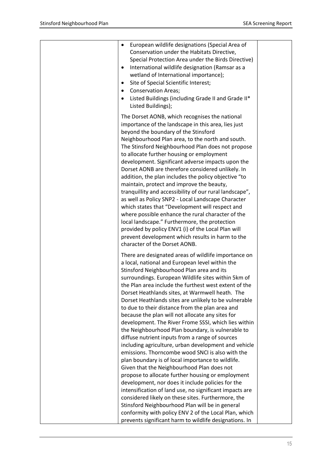| European wildlife designations (Special Area of<br>٠<br>Conservation under the Habitats Directive,<br>Special Protection Area under the Birds Directive)<br>International wildlife designation (Ramsar as a<br>$\bullet$<br>wetland of International importance);<br>Site of Special Scientific Interest;<br>$\bullet$<br><b>Conservation Areas;</b><br>Listed Buildings (including Grade II and Grade II*<br>٠<br>Listed Buildings);                                                                                                                                                                                                                                                                                                                                                                                                                                                                                                                                                                                                                                                                                                                                                                                                                                   |  |
|-------------------------------------------------------------------------------------------------------------------------------------------------------------------------------------------------------------------------------------------------------------------------------------------------------------------------------------------------------------------------------------------------------------------------------------------------------------------------------------------------------------------------------------------------------------------------------------------------------------------------------------------------------------------------------------------------------------------------------------------------------------------------------------------------------------------------------------------------------------------------------------------------------------------------------------------------------------------------------------------------------------------------------------------------------------------------------------------------------------------------------------------------------------------------------------------------------------------------------------------------------------------------|--|
| The Dorset AONB, which recognises the national<br>importance of the landscape in this area, lies just<br>beyond the boundary of the Stinsford<br>Neighbourhood Plan area, to the north and south.<br>The Stinsford Neighbourhood Plan does not propose<br>to allocate further housing or employment<br>development. Significant adverse impacts upon the<br>Dorset AONB are therefore considered unlikely. In<br>addition, the plan includes the policy objective "to<br>maintain, protect and improve the beauty,<br>tranquillity and accessibility of our rural landscape",<br>as well as Policy SNP2 - Local Landscape Character<br>which states that "Development will respect and<br>where possible enhance the rural character of the<br>local landscape." Furthermore, the protection<br>provided by policy ENV1 (i) of the Local Plan will<br>prevent development which results in harm to the<br>character of the Dorset AONB.                                                                                                                                                                                                                                                                                                                                 |  |
| There are designated areas of wildlife importance on<br>a local, national and European level within the<br>Stinsford Neighbourhood Plan area and its<br>surroundings. European Wildlife sites within 5km of<br>the Plan area include the furthest west extent of the<br>Dorset Heathlands sites, at Warmwell heath. The<br>Dorset Heathlands sites are unlikely to be vulnerable<br>to due to their distance from the plan area and<br>because the plan will not allocate any sites for<br>development. The River Frome SSSI, which lies within<br>the Neighbourhood Plan boundary, is vulnerable to<br>diffuse nutrient inputs from a range of sources<br>including agriculture, urban development and vehicle<br>emissions. Thorncombe wood SNCI is also with the<br>plan boundary is of local importance to wildlife.<br>Given that the Neighbourhood Plan does not<br>propose to allocate further housing or employment<br>development, nor does it include policies for the<br>intensification of land use, no significant impacts are<br>considered likely on these sites. Furthermore, the<br>Stinsford Neighbourhood Plan will be in general<br>conformity with policy ENV 2 of the Local Plan, which<br>prevents significant harm to wildlife designations. In |  |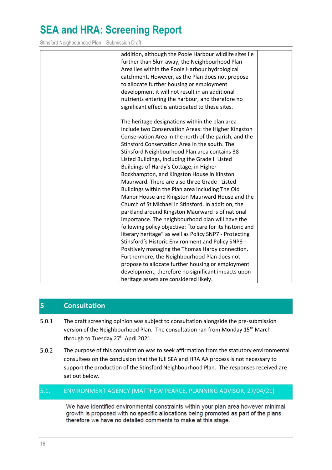Stinsford Neighbourhood Plan – Submission Draft

| addition, although the Poole Harbour wildlife sites lie   |  |
|-----------------------------------------------------------|--|
| further than 5km away, the Neighbourhood Plan             |  |
| Area lies within the Poole Harbour hydrological           |  |
| catchment. However, as the Plan does not propose          |  |
| to allocate further housing or employment                 |  |
| development it will not result in an additional           |  |
| nutrients entering the harbour, and therefore no          |  |
| significant effect is anticipated to these sites.         |  |
| The heritage designations within the plan area            |  |
| include two Conservation Areas: the Higher Kingston       |  |
| Conservation Area in the north of the parish, and the     |  |
| Stinsford Conservation Area in the south. The             |  |
| Stinsford Neighbourhood Plan area contains 38             |  |
| Listed Buildings, including the Grade II Listed           |  |
| Buildings of Hardy's Cottage, in Higher                   |  |
| Bockhampton, and Kingston House in Kinston                |  |
| Maurward. There are also three Grade I Listed             |  |
| Buildings within the Plan area including The Old          |  |
| Manor House and Kingston Maurward House and the           |  |
| Church of St Michael in Stinsford. In addition, the       |  |
| parkland around Kingston Maurward is of national          |  |
|                                                           |  |
| importance. The neighbourhood plan will have the          |  |
| following policy objective: "to care for its historic and |  |
| literary heritage" as well as Policy SNP7 - Protecting    |  |
| Stinsford's Historic Environment and Policy SNP8 -        |  |
| Positively managing the Thomas Hardy connection.          |  |
| Furthermore, the Neighbourhood Plan does not              |  |
| propose to allocate further housing or employment         |  |
| development, therefore no significant impacts upon        |  |
| heritage assets are considered likely.                    |  |

### <span id="page-17-0"></span>**5 Consultation**

- The draft screening opinion was subject to consultation alongside the pre-submission  $5.0.1$ version of the Neighbourhood Plan. The consultation ran from Monday 15<sup>th</sup> March through to Tuesday 27<sup>th</sup> April 2021.
- $5.0.2$ The purpose of this consultation was to seek affirmation from the statutory environmental consultees on the conclusion that the full SEA and HRA AA process is not necessary to support the production of the Stinsford Neighbourhood Plan. The responses received are set out below.

#### <span id="page-17-1"></span>5.1. ENVIRONMENT AGENCY (MATTHEW PEARCE, PLANNING ADVISOR, 27/04/21)

We have identified environmental constraints within your plan area however minimal growth is proposed with no specific allocations being promoted as part of the plans, therefore we have no detailed comments to make at this stage.